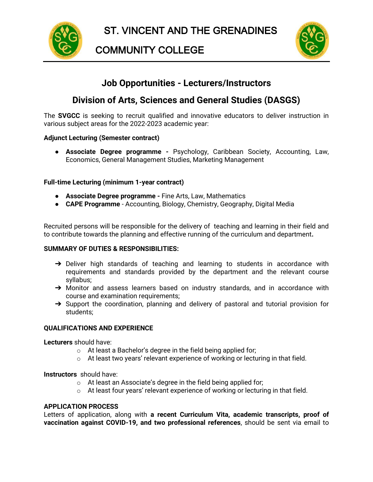# COMMUNITY COLLEGE



## **Job Opportunities - Lecturers/Instructors**

# **Division of Arts, Sciences and General Studies (DASGS)**

The **SVGCC** is seeking to recruit qualified and innovative educators to deliver instruction in various subject areas for the 2022-2023 academic year:

## **Adjunct Lecturing (Semester contract)**

● **Associate Degree programme -** Psychology, Caribbean Society, Accounting, Law, Economics, General Management Studies, Marketing Management

### **Full-time Lecturing (minimum 1-year contract)**

- **Associate Degree programme -** Fine Arts, Law, Mathematics
- **CAPE Programme** Accounting, Biology, Chemistry, Geography, Digital Media

Recruited persons will be responsible for the delivery of teaching and learning in their field and to contribute towards the planning and effective running of the curriculum and department**.**

#### **SUMMARY OF DUTIES & RESPONSIBILITIES:**

- → Deliver high standards of teaching and learning to students in accordance with requirements and standards provided by the department and the relevant course syllabus;
- → Monitor and assess learners based on industry standards, and in accordance with course and examination requirements;
- → Support the coordination, planning and delivery of pastoral and tutorial provision for students;

#### **QUALIFICATIONS AND EXPERIENCE**

**Lecturers** should have:

- o At least a Bachelor's degree in the field being applied for;
- $\circ$  At least two years' relevant experience of working or lecturing in that field.

**Instructors** should have:

- o At least an Associate's degree in the field being applied for;
- $\circ$  At least four years' relevant experience of working or lecturing in that field.

### **APPLICATION PROCESS**

Letters of application, along with **a recent Curriculum Vita, academic transcripts, proof of vaccination against COVID-19, and two professional references**, should be sent via email to